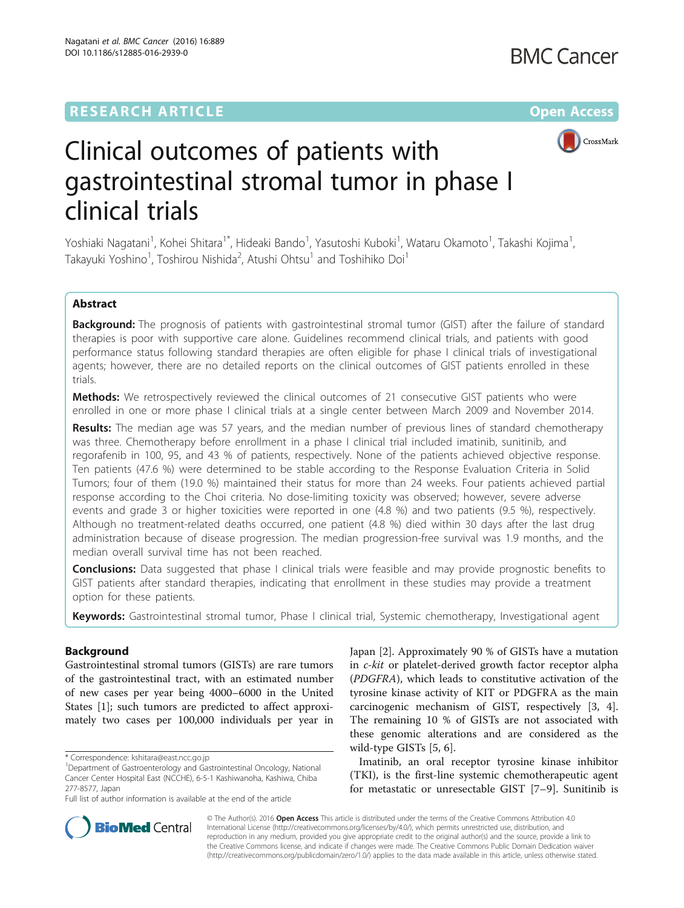## **RESEARCH ARTICLE Example 2014 12:30 The Contract of Contract ACCESS**



# Clinical outcomes of patients with gastrointestinal stromal tumor in phase I clinical trials

Yoshiaki Nagatani<sup>1</sup>, Kohei Shitara<sup>1\*</sup>, Hideaki Bando<sup>1</sup>, Yasutoshi Kuboki<sup>1</sup>, Wataru Okamoto<sup>1</sup>, Takashi Kojima<sup>1</sup> , Takayuki Yoshino<sup>1</sup>, Toshirou Nishida<sup>2</sup>, Atushi Ohtsu<sup>1</sup> and Toshihiko Doi<sup>1</sup>

## Abstract

**Background:** The prognosis of patients with gastrointestinal stromal tumor (GIST) after the failure of standard therapies is poor with supportive care alone. Guidelines recommend clinical trials, and patients with good performance status following standard therapies are often eligible for phase I clinical trials of investigational agents; however, there are no detailed reports on the clinical outcomes of GIST patients enrolled in these trials.

**Methods:** We retrospectively reviewed the clinical outcomes of 21 consecutive GIST patients who were enrolled in one or more phase I clinical trials at a single center between March 2009 and November 2014.

**Results:** The median age was 57 years, and the median number of previous lines of standard chemotherapy was three. Chemotherapy before enrollment in a phase I clinical trial included imatinib, sunitinib, and regorafenib in 100, 95, and 43 % of patients, respectively. None of the patients achieved objective response. Ten patients (47.6 %) were determined to be stable according to the Response Evaluation Criteria in Solid Tumors; four of them (19.0 %) maintained their status for more than 24 weeks. Four patients achieved partial response according to the Choi criteria. No dose-limiting toxicity was observed; however, severe adverse events and grade 3 or higher toxicities were reported in one (4.8 %) and two patients (9.5 %), respectively. Although no treatment-related deaths occurred, one patient (4.8 %) died within 30 days after the last drug administration because of disease progression. The median progression-free survival was 1.9 months, and the median overall survival time has not been reached.

**Conclusions:** Data suggested that phase I clinical trials were feasible and may provide prognostic benefits to GIST patients after standard therapies, indicating that enrollment in these studies may provide a treatment option for these patients.

Keywords: Gastrointestinal stromal tumor, Phase I clinical trial, Systemic chemotherapy, Investigational agent

## Background

Gastrointestinal stromal tumors (GISTs) are rare tumors of the gastrointestinal tract, with an estimated number of new cases per year being 4000–6000 in the United States [[1\]](#page-7-0); such tumors are predicted to affect approximately two cases per 100,000 individuals per year in Japan [\[2](#page-7-0)]. Approximately 90 % of GISTs have a mutation in c-kit or platelet-derived growth factor receptor alpha (PDGFRA), which leads to constitutive activation of the tyrosine kinase activity of KIT or PDGFRA as the main carcinogenic mechanism of GIST, respectively [\[3](#page-7-0), [4](#page-7-0)]. The remaining 10 % of GISTs are not associated with these genomic alterations and are considered as the wild-type GISTs [[5, 6\]](#page-7-0).

Imatinib, an oral receptor tyrosine kinase inhibitor (TKI), is the first-line systemic chemotherapeutic agent for metastatic or unresectable GIST [\[7](#page-7-0)–[9\]](#page-7-0). Sunitinib is



© The Author(s). 2016 Open Access This article is distributed under the terms of the Creative Commons Attribution 4.0 International License [\(http://creativecommons.org/licenses/by/4.0/](http://creativecommons.org/licenses/by/4.0/)), which permits unrestricted use, distribution, and reproduction in any medium, provided you give appropriate credit to the original author(s) and the source, provide a link to the Creative Commons license, and indicate if changes were made. The Creative Commons Public Domain Dedication waiver [\(http://creativecommons.org/publicdomain/zero/1.0/](http://creativecommons.org/publicdomain/zero/1.0/)) applies to the data made available in this article, unless otherwise stated.

<sup>\*</sup> Correspondence: [kshitara@east.ncc.go.jp](mailto:kshitara@east.ncc.go.jp) <sup>1</sup>

<sup>&</sup>lt;sup>1</sup>Department of Gastroenterology and Gastrointestinal Oncology, National Cancer Center Hospital East (NCCHE), 6-5-1 Kashiwanoha, Kashiwa, Chiba 277-8577, Japan

Full list of author information is available at the end of the article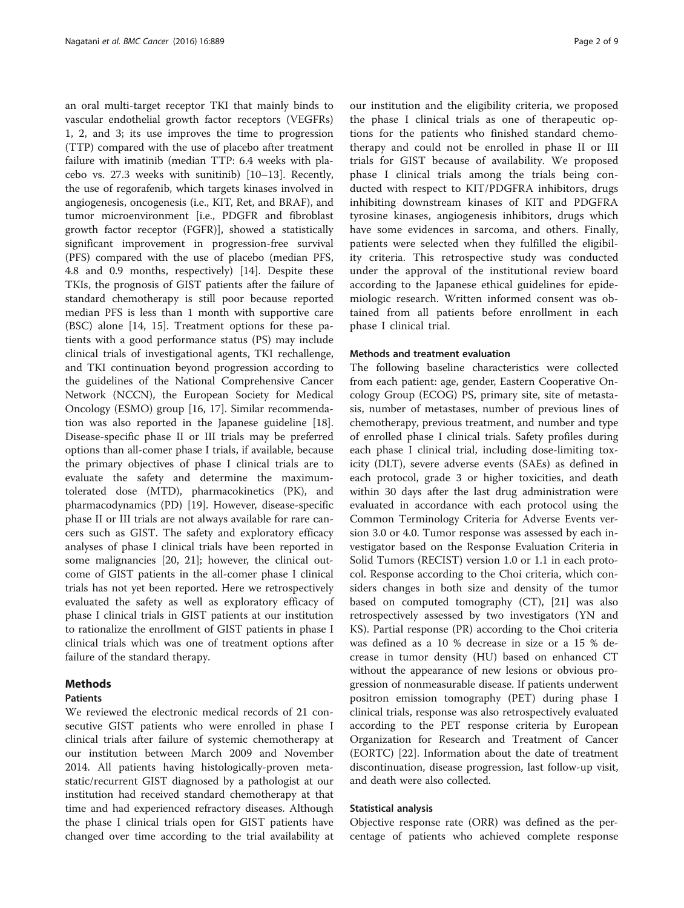an oral multi-target receptor TKI that mainly binds to vascular endothelial growth factor receptors (VEGFRs) 1, 2, and 3; its use improves the time to progression (TTP) compared with the use of placebo after treatment failure with imatinib (median TTP: 6.4 weeks with placebo vs. 27.3 weeks with sunitinib) [[10](#page-7-0)–[13](#page-7-0)]. Recently, the use of regorafenib, which targets kinases involved in angiogenesis, oncogenesis (i.e., KIT, Ret, and BRAF), and tumor microenvironment [i.e., PDGFR and fibroblast growth factor receptor (FGFR)], showed a statistically significant improvement in progression-free survival (PFS) compared with the use of placebo (median PFS, 4.8 and 0.9 months, respectively) [\[14\]](#page-7-0). Despite these TKIs, the prognosis of GIST patients after the failure of standard chemotherapy is still poor because reported median PFS is less than 1 month with supportive care (BSC) alone [\[14, 15\]](#page-7-0). Treatment options for these patients with a good performance status (PS) may include clinical trials of investigational agents, TKI rechallenge, and TKI continuation beyond progression according to the guidelines of the National Comprehensive Cancer Network (NCCN), the European Society for Medical Oncology (ESMO) group [\[16](#page-7-0), [17](#page-7-0)]. Similar recommendation was also reported in the Japanese guideline [\[18](#page-7-0)]. Disease-specific phase II or III trials may be preferred options than all-comer phase I trials, if available, because the primary objectives of phase I clinical trials are to evaluate the safety and determine the maximumtolerated dose (MTD), pharmacokinetics (PK), and pharmacodynamics (PD) [\[19](#page-7-0)]. However, disease-specific phase II or III trials are not always available for rare cancers such as GIST. The safety and exploratory efficacy analyses of phase I clinical trials have been reported in some malignancies [\[20, 21\]](#page-7-0); however, the clinical outcome of GIST patients in the all-comer phase I clinical trials has not yet been reported. Here we retrospectively evaluated the safety as well as exploratory efficacy of phase I clinical trials in GIST patients at our institution to rationalize the enrollment of GIST patients in phase I clinical trials which was one of treatment options after failure of the standard therapy.

## Methods

## **Patients**

We reviewed the electronic medical records of 21 consecutive GIST patients who were enrolled in phase I clinical trials after failure of systemic chemotherapy at our institution between March 2009 and November 2014. All patients having histologically-proven metastatic/recurrent GIST diagnosed by a pathologist at our institution had received standard chemotherapy at that time and had experienced refractory diseases. Although the phase I clinical trials open for GIST patients have changed over time according to the trial availability at

our institution and the eligibility criteria, we proposed the phase I clinical trials as one of therapeutic options for the patients who finished standard chemotherapy and could not be enrolled in phase II or III trials for GIST because of availability. We proposed phase I clinical trials among the trials being conducted with respect to KIT/PDGFRA inhibitors, drugs inhibiting downstream kinases of KIT and PDGFRA tyrosine kinases, angiogenesis inhibitors, drugs which have some evidences in sarcoma, and others. Finally, patients were selected when they fulfilled the eligibility criteria. This retrospective study was conducted under the approval of the institutional review board according to the Japanese ethical guidelines for epidemiologic research. Written informed consent was obtained from all patients before enrollment in each phase I clinical trial.

#### Methods and treatment evaluation

The following baseline characteristics were collected from each patient: age, gender, Eastern Cooperative Oncology Group (ECOG) PS, primary site, site of metastasis, number of metastases, number of previous lines of chemotherapy, previous treatment, and number and type of enrolled phase I clinical trials. Safety profiles during each phase I clinical trial, including dose-limiting toxicity (DLT), severe adverse events (SAEs) as defined in each protocol, grade 3 or higher toxicities, and death within 30 days after the last drug administration were evaluated in accordance with each protocol using the Common Terminology Criteria for Adverse Events version 3.0 or 4.0. Tumor response was assessed by each investigator based on the Response Evaluation Criteria in Solid Tumors (RECIST) version 1.0 or 1.1 in each protocol. Response according to the Choi criteria, which considers changes in both size and density of the tumor based on computed tomography (CT), [[21\]](#page-7-0) was also retrospectively assessed by two investigators (YN and KS). Partial response (PR) according to the Choi criteria was defined as a 10 % decrease in size or a 15 % decrease in tumor density (HU) based on enhanced CT without the appearance of new lesions or obvious progression of nonmeasurable disease. If patients underwent positron emission tomography (PET) during phase I clinical trials, response was also retrospectively evaluated according to the PET response criteria by European Organization for Research and Treatment of Cancer (EORTC) [\[22\]](#page-7-0). Information about the date of treatment discontinuation, disease progression, last follow-up visit, and death were also collected.

## Statistical analysis

Objective response rate (ORR) was defined as the percentage of patients who achieved complete response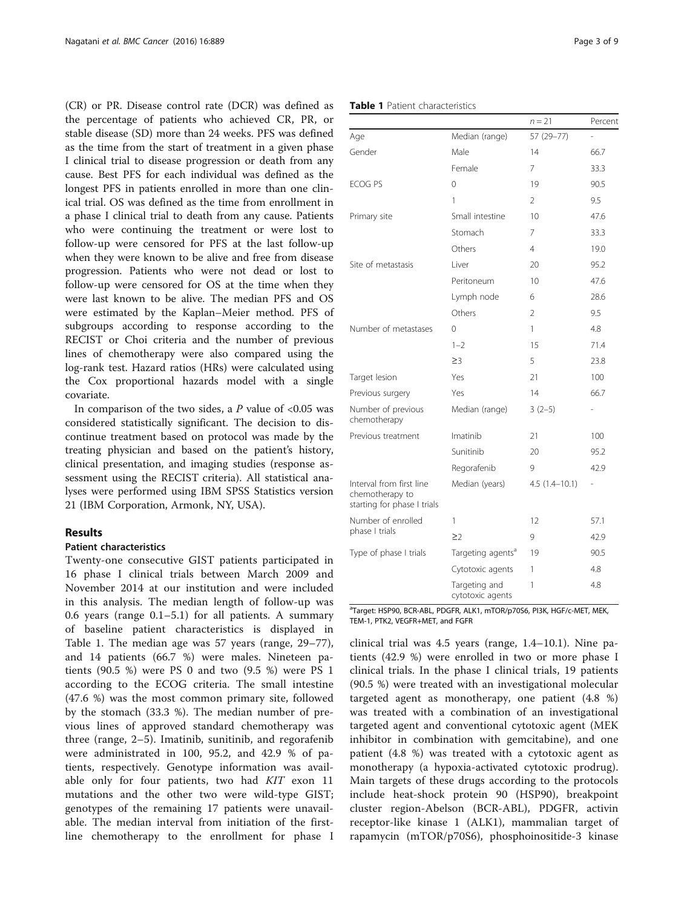(CR) or PR. Disease control rate (DCR) was defined as the percentage of patients who achieved CR, PR, or stable disease (SD) more than 24 weeks. PFS was defined as the time from the start of treatment in a given phase I clinical trial to disease progression or death from any cause. Best PFS for each individual was defined as the longest PFS in patients enrolled in more than one clinical trial. OS was defined as the time from enrollment in a phase I clinical trial to death from any cause. Patients who were continuing the treatment or were lost to follow-up were censored for PFS at the last follow-up when they were known to be alive and free from disease progression. Patients who were not dead or lost to follow-up were censored for OS at the time when they were last known to be alive. The median PFS and OS were estimated by the Kaplan–Meier method. PFS of subgroups according to response according to the RECIST or Choi criteria and the number of previous lines of chemotherapy were also compared using the log-rank test. Hazard ratios (HRs) were calculated using the Cox proportional hazards model with a single covariate.

In comparison of the two sides, a  $P$  value of <0.05 was considered statistically significant. The decision to discontinue treatment based on protocol was made by the treating physician and based on the patient's history, clinical presentation, and imaging studies (response assessment using the RECIST criteria). All statistical analyses were performed using IBM SPSS Statistics version 21 (IBM Corporation, Armonk, NY, USA).

## Results

## Patient characteristics

Twenty-one consecutive GIST patients participated in 16 phase I clinical trials between March 2009 and November 2014 at our institution and were included in this analysis. The median length of follow-up was 0.6 years (range 0.1–5.1) for all patients. A summary of baseline patient characteristics is displayed in Table 1. The median age was 57 years (range, 29–77), and 14 patients (66.7 %) were males. Nineteen patients (90.5 %) were PS 0 and two (9.5 %) were PS 1 according to the ECOG criteria. The small intestine (47.6 %) was the most common primary site, followed by the stomach (33.3 %). The median number of previous lines of approved standard chemotherapy was three (range, 2–5). Imatinib, sunitinib, and regorafenib were administrated in 100, 95.2, and 42.9 % of patients, respectively. Genotype information was available only for four patients, two had KIT exon 11 mutations and the other two were wild-type GIST; genotypes of the remaining 17 patients were unavailable. The median interval from initiation of the firstline chemotherapy to the enrollment for phase I

| Table 1 Patient characteristics |                |            |         |  |  |  |
|---------------------------------|----------------|------------|---------|--|--|--|
|                                 |                |            |         |  |  |  |
|                                 |                | $n = 21$   | Percent |  |  |  |
| Age                             | Median (range) | 57 (29–77) |         |  |  |  |
| $C$ andar                       | $A - 1 -$      | 14         | CC 7    |  |  |  |

| $1.9 -$                                                                    | i                                 |                   |                          |
|----------------------------------------------------------------------------|-----------------------------------|-------------------|--------------------------|
| Gender                                                                     | Male                              | 14                | 66.7                     |
|                                                                            | Female                            | $\overline{7}$    | 33.3                     |
| <b>ECOG PS</b>                                                             | 0                                 | 19                | 90.5                     |
|                                                                            | 1                                 | $\overline{2}$    | 9.5                      |
| Primary site                                                               | Small intestine                   | 10                | 47.6                     |
|                                                                            | Stomach                           | 7                 | 33.3                     |
|                                                                            | Others                            | $\overline{4}$    | 19.0                     |
| Site of metastasis                                                         | Liver                             | 20                | 95.2                     |
|                                                                            | Peritoneum                        | 10                | 47.6                     |
|                                                                            | Lymph node                        | 6                 | 28.6                     |
|                                                                            | Others                            | $\overline{2}$    | 9.5                      |
| Number of metastases                                                       | 0                                 | 1                 | 4.8                      |
|                                                                            | $1 - 2$                           | 15                | 71.4                     |
|                                                                            | $\geq$ 3                          | 5                 | 23.8                     |
| Target lesion                                                              | Yes                               | 21                | 100                      |
| Previous surgery                                                           | Yes                               | 14                | 66.7                     |
| Number of previous<br>chemotherapy                                         | Median (range)                    | $3(2-5)$          | $\overline{\phantom{0}}$ |
| Previous treatment                                                         | Imatinib                          | 21                | 100                      |
|                                                                            | Sunitinib                         | 20                | 95.2                     |
|                                                                            | Regorafenib                       | 9                 | 42.9                     |
| Interval from first line<br>chemotherapy to<br>starting for phase I trials | Median (years)                    | $4.5(1.4 - 10.1)$ | -                        |
| Number of enrolled                                                         | 1                                 | 12                | 57.1                     |
| phase I trials                                                             | $\geq$ 2                          | 9                 | 42.9                     |
| Type of phase I trials                                                     | Targeting agents <sup>a</sup>     | 19                | 90.5                     |
|                                                                            | Cytotoxic agents                  | 1                 | 4.8                      |
|                                                                            | Targeting and<br>cytotoxic agents | 1                 | 4.8                      |

<sup>a</sup>Target: HSP90, BCR-ABL, PDGFR, ALK1, mTOR/p70S6, PI3K, HGF/c-MET, MEK, TEM-1, PTK2, VEGFR+MET, and FGFR

clinical trial was 4.5 years (range, 1.4–10.1). Nine patients (42.9 %) were enrolled in two or more phase I clinical trials. In the phase I clinical trials, 19 patients (90.5 %) were treated with an investigational molecular targeted agent as monotherapy, one patient (4.8 %) was treated with a combination of an investigational targeted agent and conventional cytotoxic agent (MEK inhibitor in combination with gemcitabine), and one patient (4.8 %) was treated with a cytotoxic agent as monotherapy (a hypoxia-activated cytotoxic prodrug). Main targets of these drugs according to the protocols include heat-shock protein 90 (HSP90), breakpoint cluster region-Abelson (BCR-ABL), PDGFR, activin receptor-like kinase 1 (ALK1), mammalian target of rapamycin (mTOR/p70S6), phosphoinositide-3 kinase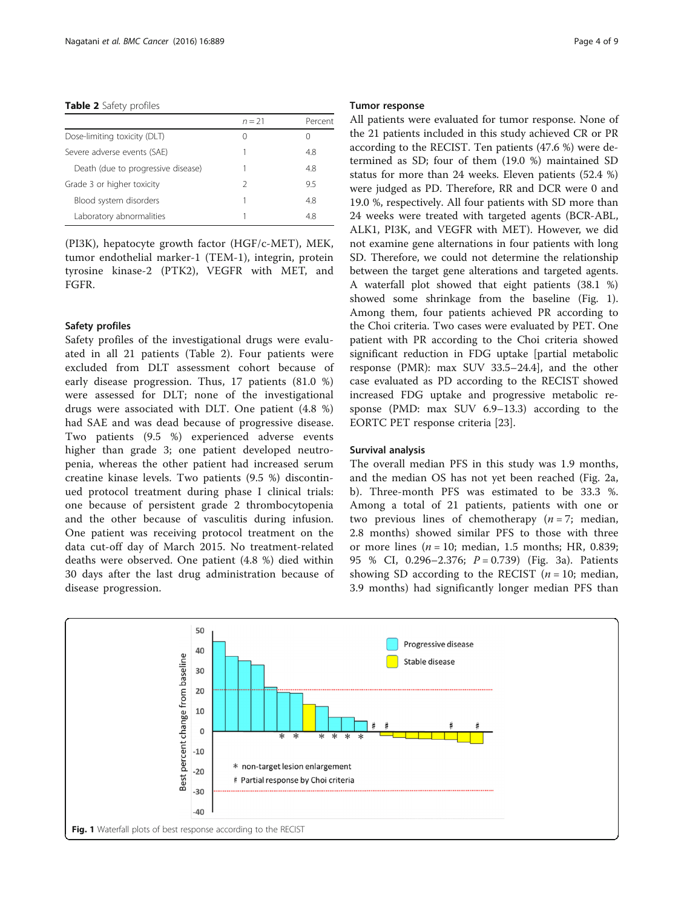Table 2 Safety profiles

|                                    | $n = 21$         | Percent |
|------------------------------------|------------------|---------|
| Dose-limiting toxicity (DLT)       | $\left( \right)$ |         |
| Severe adverse events (SAE)        |                  | 4.8     |
| Death (due to progressive disease) |                  | 4.8     |
| Grade 3 or higher toxicity         | 2                | 95      |
| Blood system disorders             |                  | 4.8     |
| Laboratory abnormalities           |                  | 48      |
|                                    |                  |         |

(PI3K), hepatocyte growth factor (HGF/c-MET), MEK, tumor endothelial marker-1 (TEM-1), integrin, protein tyrosine kinase-2 (PTK2), VEGFR with MET, and FGFR.

## Safety profiles

Safety profiles of the investigational drugs were evaluated in all 21 patients (Table 2). Four patients were excluded from DLT assessment cohort because of early disease progression. Thus, 17 patients (81.0 %) were assessed for DLT; none of the investigational drugs were associated with DLT. One patient (4.8 %) had SAE and was dead because of progressive disease. Two patients (9.5 %) experienced adverse events higher than grade 3; one patient developed neutropenia, whereas the other patient had increased serum creatine kinase levels. Two patients (9.5 %) discontinued protocol treatment during phase I clinical trials: one because of persistent grade 2 thrombocytopenia and the other because of vasculitis during infusion. One patient was receiving protocol treatment on the data cut-off day of March 2015. No treatment-related deaths were observed. One patient (4.8 %) died within 30 days after the last drug administration because of disease progression.

## Tumor response

All patients were evaluated for tumor response. None of the 21 patients included in this study achieved CR or PR according to the RECIST. Ten patients (47.6 %) were determined as SD; four of them (19.0 %) maintained SD status for more than 24 weeks. Eleven patients (52.4 %) were judged as PD. Therefore, RR and DCR were 0 and 19.0 %, respectively. All four patients with SD more than 24 weeks were treated with targeted agents (BCR-ABL, ALK1, PI3K, and VEGFR with MET). However, we did not examine gene alternations in four patients with long SD. Therefore, we could not determine the relationship between the target gene alterations and targeted agents. A waterfall plot showed that eight patients (38.1 %) showed some shrinkage from the baseline (Fig. 1). Among them, four patients achieved PR according to the Choi criteria. Two cases were evaluated by PET. One patient with PR according to the Choi criteria showed significant reduction in FDG uptake [partial metabolic response (PMR): max SUV 33.5–24.4], and the other case evaluated as PD according to the RECIST showed increased FDG uptake and progressive metabolic response (PMD: max SUV 6.9–13.3) according to the EORTC PET response criteria [[23\]](#page-7-0).

#### Survival analysis

The overall median PFS in this study was 1.9 months, and the median OS has not yet been reached (Fig. [2a,](#page-4-0) [b\)](#page-4-0). Three-month PFS was estimated to be 33.3 %. Among a total of 21 patients, patients with one or two previous lines of chemotherapy  $(n = 7;$  median, 2.8 months) showed similar PFS to those with three or more lines ( $n = 10$ ; median, 1.5 months; HR, 0.839; 95 % CI, 0.296-2.376;  $P = 0.739$  (Fig. [3a\)](#page-6-0). Patients showing SD according to the RECIST  $(n = 10; \text{ median},$ 3.9 months) had significantly longer median PFS than

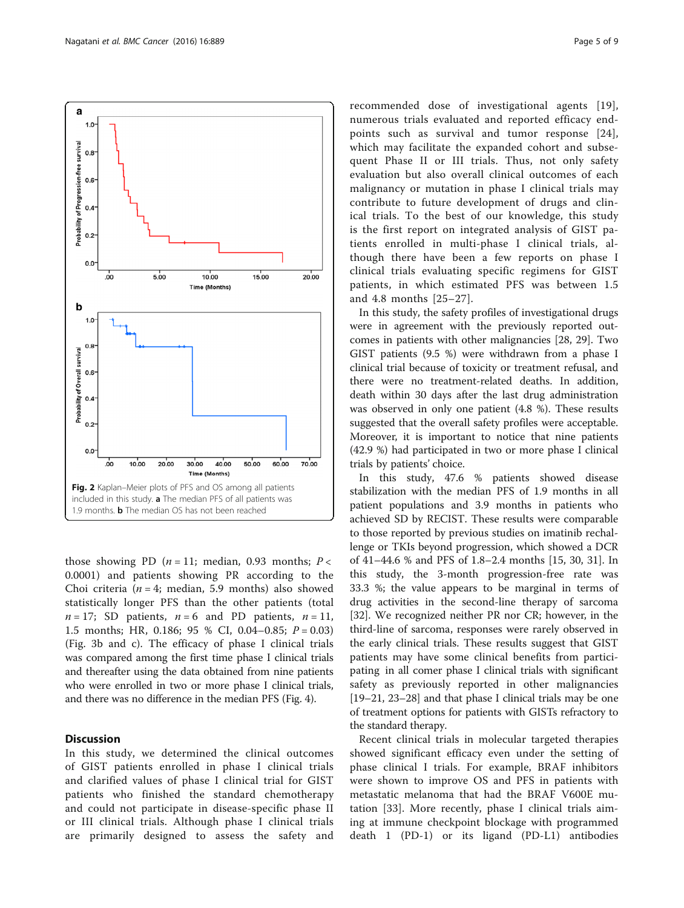those showing PD ( $n = 11$ ; median, 0.93 months;  $P <$ 0.0001) and patients showing PR according to the Choi criteria ( $n = 4$ ; median, 5.9 months) also showed statistically longer PFS than the other patients (total  $n = 17$ ; SD patients,  $n = 6$  and PD patients,  $n = 11$ , 1.5 months; HR, 0.186; 95 % CI, 0.04–0.85;  $P = 0.03$ ) (Fig. [3b and c\)](#page-6-0). The efficacy of phase I clinical trials was compared among the first time phase I clinical trials and thereafter using the data obtained from nine patients who were enrolled in two or more phase I clinical trials, and there was no difference in the median PFS (Fig. [4](#page-6-0)).

## Discussion

In this study, we determined the clinical outcomes of GIST patients enrolled in phase I clinical trials and clarified values of phase I clinical trial for GIST patients who finished the standard chemotherapy and could not participate in disease-specific phase II or III clinical trials. Although phase I clinical trials are primarily designed to assess the safety and

recommended dose of investigational agents [[19](#page-7-0)], numerous trials evaluated and reported efficacy endpoints such as survival and tumor response [[24](#page-7-0)], which may facilitate the expanded cohort and subsequent Phase II or III trials. Thus, not only safety evaluation but also overall clinical outcomes of each malignancy or mutation in phase I clinical trials may contribute to future development of drugs and clinical trials. To the best of our knowledge, this study is the first report on integrated analysis of GIST patients enrolled in multi-phase I clinical trials, although there have been a few reports on phase I clinical trials evaluating specific regimens for GIST patients, in which estimated PFS was between 1.5 and 4.8 months [[25](#page-7-0)–[27\]](#page-7-0).

In this study, the safety profiles of investigational drugs were in agreement with the previously reported outcomes in patients with other malignancies [\[28](#page-7-0), [29](#page-8-0)]. Two GIST patients (9.5 %) were withdrawn from a phase I clinical trial because of toxicity or treatment refusal, and there were no treatment-related deaths. In addition, death within 30 days after the last drug administration was observed in only one patient (4.8 %). These results suggested that the overall safety profiles were acceptable. Moreover, it is important to notice that nine patients (42.9 %) had participated in two or more phase I clinical trials by patients' choice.

In this study, 47.6 % patients showed disease stabilization with the median PFS of 1.9 months in all patient populations and 3.9 months in patients who achieved SD by RECIST. These results were comparable to those reported by previous studies on imatinib rechallenge or TKIs beyond progression, which showed a DCR of 41–44.6 % and PFS of 1.8–2.4 months [[15,](#page-7-0) [30](#page-8-0), [31](#page-8-0)]. In this study, the 3-month progression-free rate was 33.3 %; the value appears to be marginal in terms of drug activities in the second-line therapy of sarcoma [[32\]](#page-8-0). We recognized neither PR nor CR; however, in the third-line of sarcoma, responses were rarely observed in the early clinical trials. These results suggest that GIST patients may have some clinical benefits from participating in all comer phase I clinical trials with significant safety as previously reported in other malignancies [[19](#page-7-0)–[21, 23](#page-7-0)–[28](#page-7-0)] and that phase I clinical trials may be one of treatment options for patients with GISTs refractory to the standard therapy.

Recent clinical trials in molecular targeted therapies showed significant efficacy even under the setting of phase clinical I trials. For example, BRAF inhibitors were shown to improve OS and PFS in patients with metastatic melanoma that had the BRAF V600E mutation [[33\]](#page-8-0). More recently, phase I clinical trials aiming at immune checkpoint blockage with programmed death 1 (PD-1) or its ligand (PD-L1) antibodies

<span id="page-4-0"></span>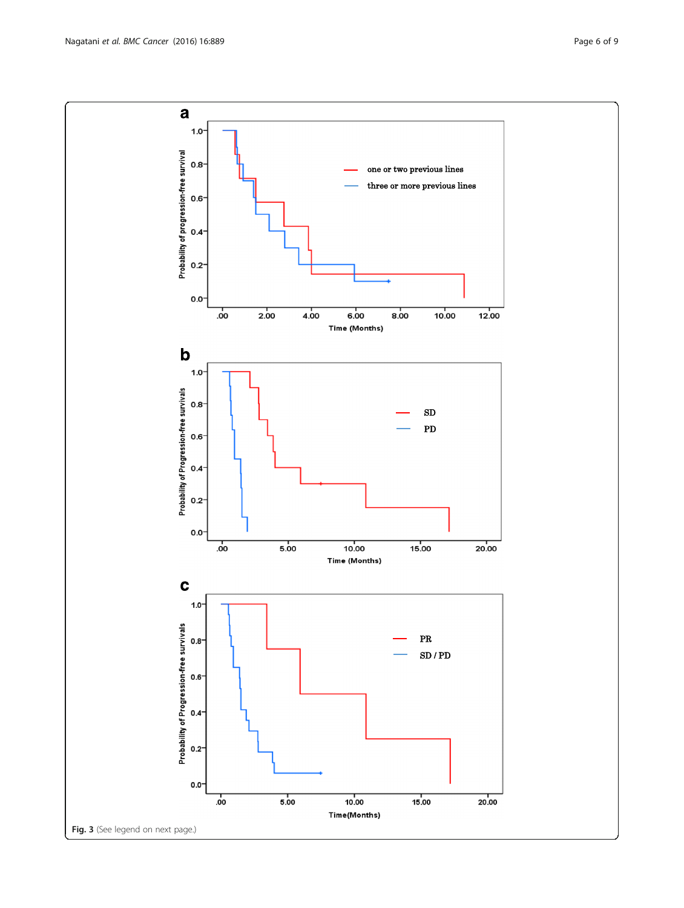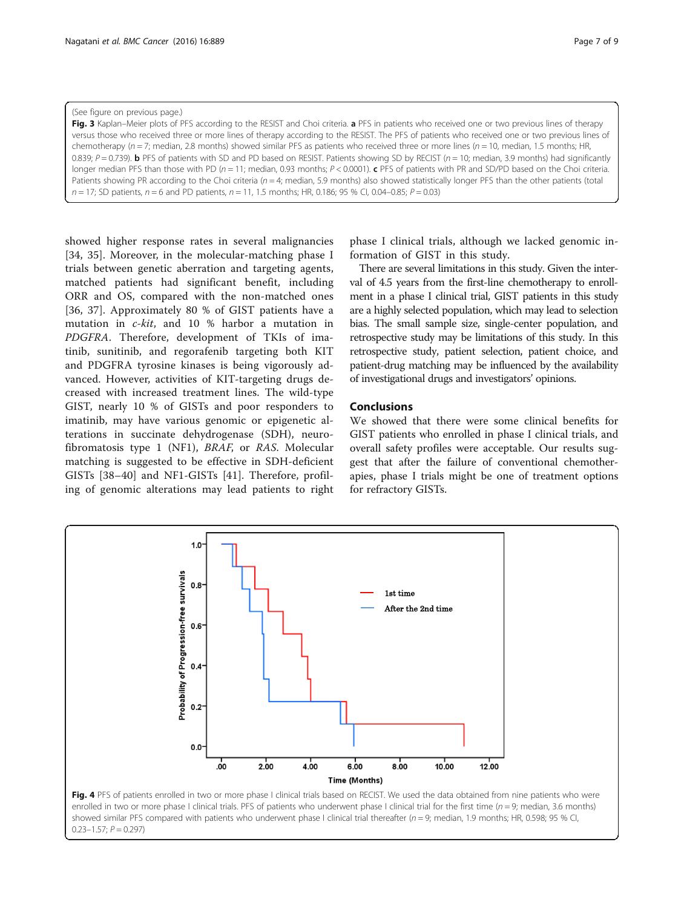#### <span id="page-6-0"></span>(See figure on previous page.)

Fig. 3 Kaplan–Meier plots of PFS according to the RESIST and Choi criteria. a PFS in patients who received one or two previous lines of therapy versus those who received three or more lines of therapy according to the RESIST. The PFS of patients who received one or two previous lines of chemotherapy ( $n = 7$ ; median, 2.8 months) showed similar PFS as patients who received three or more lines ( $n = 10$ , median, 1.5 months; HR, 0.839;  $P = 0.739$ ). **b** PFS of patients with SD and PD based on RESIST. Patients showing SD by RECIST ( $n = 10$ ; median, 3.9 months) had significantly longer median PFS than those with PD ( $n = 11$ ; median, 0.93 months;  $P < 0.0001$ ). c PFS of patients with PR and SD/PD based on the Choi criteria. Patients showing PR according to the Choi criteria (n = 4; median, 5.9 months) also showed statistically longer PFS than the other patients (total  $n = 17$ ; SD patients,  $n = 6$  and PD patients,  $n = 11$ , 1.5 months; HR, 0.186; 95 % CI, 0.04-0.85;  $P = 0.03$ )

showed higher response rates in several malignancies [[34, 35](#page-8-0)]. Moreover, in the molecular-matching phase I trials between genetic aberration and targeting agents, matched patients had significant benefit, including ORR and OS, compared with the non-matched ones [[36, 37](#page-8-0)]. Approximately 80 % of GIST patients have a mutation in c-kit, and 10 % harbor a mutation in PDGFRA. Therefore, development of TKIs of imatinib, sunitinib, and regorafenib targeting both KIT and PDGFRA tyrosine kinases is being vigorously advanced. However, activities of KIT-targeting drugs decreased with increased treatment lines. The wild-type GIST, nearly 10 % of GISTs and poor responders to imatinib, may have various genomic or epigenetic alterations in succinate dehydrogenase (SDH), neurofibromatosis type 1 (NF1), BRAF, or RAS. Molecular matching is suggested to be effective in SDH-deficient GISTs [[38](#page-8-0)–[40\]](#page-8-0) and NF1-GISTs [\[41](#page-8-0)]. Therefore, profiling of genomic alterations may lead patients to right

phase I clinical trials, although we lacked genomic information of GIST in this study.

There are several limitations in this study. Given the interval of 4.5 years from the first-line chemotherapy to enrollment in a phase I clinical trial, GIST patients in this study are a highly selected population, which may lead to selection bias. The small sample size, single-center population, and retrospective study may be limitations of this study. In this retrospective study, patient selection, patient choice, and patient-drug matching may be influenced by the availability of investigational drugs and investigators' opinions.

## **Conclusions**

We showed that there were some clinical benefits for GIST patients who enrolled in phase I clinical trials, and overall safety profiles were acceptable. Our results suggest that after the failure of conventional chemotherapies, phase I trials might be one of treatment options for refractory GISTs.



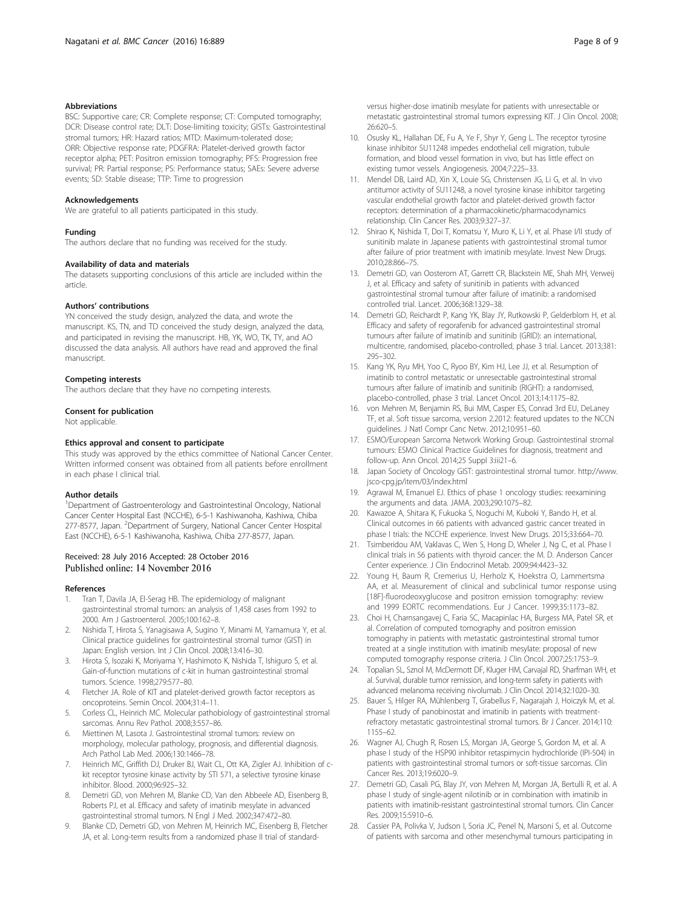#### <span id="page-7-0"></span>Abbreviations

BSC: Supportive care; CR: Complete response; CT: Computed tomography; DCR: Disease control rate; DLT: Dose-limiting toxicity; GISTs: Gastrointestinal stromal tumors; HR: Hazard ratios; MTD: Maximum-tolerated dose; ORR: Objective response rate; PDGFRA: Platelet-derived growth factor receptor alpha; PET: Positron emission tomography; PFS: Progression free survival; PR: Partial response; PS: Performance status; SAEs: Severe adverse events; SD: Stable disease; TTP: Time to progression

#### Acknowledgements

We are grateful to all patients participated in this study.

#### Funding

The authors declare that no funding was received for the study.

#### Availability of data and materials

The datasets supporting conclusions of this article are included within the article.

#### Authors' contributions

YN conceived the study design, analyzed the data, and wrote the manuscript. KS, TN, and TD conceived the study design, analyzed the data, and participated in revising the manuscript. HB, YK, WO, TK, TY, and AO discussed the data analysis. All authors have read and approved the final manuscript.

#### Competing interests

The authors declare that they have no competing interests.

## Consent for publication

Not applicable.

#### Ethics approval and consent to participate

This study was approved by the ethics committee of National Cancer Center. Written informed consent was obtained from all patients before enrollment in each phase I clinical trial.

#### Author details

<sup>1</sup>Department of Gastroenterology and Gastrointestinal Oncology, National Cancer Center Hospital East (NCCHE), 6-5-1 Kashiwanoha, Kashiwa, Chiba 277-8577, Japan. <sup>2</sup>Department of Surgery, National Cancer Center Hospital East (NCCHE), 6-5-1 Kashiwanoha, Kashiwa, Chiba 277-8577, Japan.

### Received: 28 July 2016 Accepted: 28 October 2016 Published online: 14 November 2016

#### References

- Tran T, Davila JA, El-Serag HB. The epidemiology of malignant gastrointestinal stromal tumors: an analysis of 1,458 cases from 1992 to 2000. Am J Gastroenterol. 2005;100:162–8.
- 2. Nishida T, Hirota S, Yanagisawa A, Sugino Y, Minami M, Yamamura Y, et al. Clinical practice guidelines for gastrointestinal stromal tumor (GIST) in Japan: English version. Int J Clin Oncol. 2008;13:416–30.
- 3. Hirota S, Isozaki K, Moriyama Y, Hashimoto K, Nishida T, Ishiguro S, et al. Gain-of-function mutations of c-kit in human gastrointestinal stromal tumors. Science. 1998;279:577–80.
- 4. Fletcher JA. Role of KIT and platelet-derived growth factor receptors as oncoproteins. Semin Oncol. 2004;31:4–11.
- 5. Corless CL, Heinrich MC. Molecular pathobiology of gastrointestinal stromal sarcomas. Annu Rev Pathol. 2008;3:557–86.
- 6. Miettinen M, Lasota J. Gastrointestinal stromal tumors: review on morphology, molecular pathology, prognosis, and differential diagnosis. Arch Pathol Lab Med. 2006;130:1466–78.
- 7. Heinrich MC, Griffith DJ, Druker BJ, Wait CL, Ott KA, Zigler AJ. Inhibition of ckit receptor tyrosine kinase activity by STI 571, a selective tyrosine kinase inhibitor. Blood. 2000;96:925–32.
- Demetri GD, von Mehren M, Blanke CD, Van den Abbeele AD, Eisenberg B, Roberts PJ, et al. Efficacy and safety of imatinib mesylate in advanced gastrointestinal stromal tumors. N Engl J Med. 2002;347:472–80.
- 9. Blanke CD, Demetri GD, von Mehren M, Heinrich MC, Eisenberg B, Fletcher JA, et al. Long-term results from a randomized phase II trial of standard-

26:620–5. 10. Osusky KL, Hallahan DE, Fu A, Ye F, Shyr Y, Geng L. The receptor tyrosine kinase inhibitor SU11248 impedes endothelial cell migration, tubule formation, and blood vessel formation in vivo, but has little effect on existing tumor vessels. Angiogenesis. 2004;7:225–33.

metastatic gastrointestinal stromal tumors expressing KIT. J Clin Oncol. 2008;

- 11. Mendel DB, Laird AD, Xin X, Louie SG, Christensen JG, Li G, et al. In vivo antitumor activity of SU11248, a novel tyrosine kinase inhibitor targeting vascular endothelial growth factor and platelet-derived growth factor receptors: determination of a pharmacokinetic/pharmacodynamics relationship. Clin Cancer Res. 2003;9:327–37.
- 12. Shirao K, Nishida T, Doi T, Komatsu Y, Muro K, Li Y, et al. Phase I/II study of sunitinib malate in Japanese patients with gastrointestinal stromal tumor after failure of prior treatment with imatinib mesylate. Invest New Drugs. 2010;28:866–75.
- 13. Demetri GD, van Oosterom AT, Garrett CR, Blackstein ME, Shah MH, Verweij J, et al. Efficacy and safety of sunitinib in patients with advanced gastrointestinal stromal tumour after failure of imatinib: a randomised controlled trial. Lancet. 2006;368:1329–38.
- 14. Demetri GD, Reichardt P, Kang YK, Blay JY, Rutkowski P, Gelderblom H, et al. Efficacy and safety of regorafenib for advanced gastrointestinal stromal tumours after failure of imatinib and sunitinib (GRID): an international, multicentre, randomised, placebo-controlled, phase 3 trial. Lancet. 2013;381: 295–302.
- 15. Kang YK, Ryu MH, Yoo C, Ryoo BY, Kim HJ, Lee JJ, et al. Resumption of imatinib to control metastatic or unresectable gastrointestinal stromal tumours after failure of imatinib and sunitinib (RIGHT): a randomised, placebo-controlled, phase 3 trial. Lancet Oncol. 2013;14:1175–82.
- 16. von Mehren M, Benjamin RS, Bui MM, Casper ES, Conrad 3rd EU, DeLaney TF, et al. Soft tissue sarcoma, version 2.2012: featured updates to the NCCN guidelines. J Natl Compr Canc Netw. 2012;10:951–60.
- 17. ESMO/European Sarcoma Network Working Group. Gastrointestinal stromal tumours: ESMO Clinical Practice Guidelines for diagnosis, treatment and follow-up. Ann Oncol. 2014;25 Suppl 3:iii21–6.
- 18. Japan Society of Oncology GIST: gastrointestinal stromal tumor. [http://www.](http://www.jsco-cpg.jp/item/03/index.html) [jsco-cpg.jp/item/03/index.html](http://www.jsco-cpg.jp/item/03/index.html)
- 19. Agrawal M, Emanuel EJ. Ethics of phase 1 oncology studies: reexamining the arguments and data. JAMA. 2003;290:1075–82.
- 20. Kawazoe A, Shitara K, Fukuoka S, Noguchi M, Kuboki Y, Bando H, et al. Clinical outcomes in 66 patients with advanced gastric cancer treated in phase I trials: the NCCHE experience. Invest New Drugs. 2015;33:664–70.
- 21. Tsimberidou AM, Vaklavas C, Wen S, Hong D, Wheler J, Ng C, et al. Phase I clinical trials in 56 patients with thyroid cancer: the M. D. Anderson Cancer Center experience. J Clin Endocrinol Metab. 2009;94:4423–32.
- 22. Young H, Baum R, Cremerius U, Herholz K, Hoekstra O, Lammertsma AA, et al. Measurement of clinical and subclinical tumor response using [18F]-fluorodeoxyglucose and positron emission tomography: review and 1999 EORTC recommendations. Eur J Cancer. 1999;35:1173–82.
- 23. Choi H, Charnsangavej C, Faria SC, Macapinlac HA, Burgess MA, Patel SR, et al. Correlation of computed tomography and positron emission tomography in patients with metastatic gastrointestinal stromal tumor treated at a single institution with imatinib mesylate: proposal of new computed tomography response criteria. J Clin Oncol. 2007;25:1753–9.
- 24. Topalian SL, Sznol M, McDermott DF, Kluger HM, Carvajal RD, Sharfman WH, et al. Survival, durable tumor remission, and long-term safety in patients with advanced melanoma receiving nivolumab. J Clin Oncol. 2014;32:1020–30.
- 25. Bauer S, Hilger RA, Mühlenberg T, Grabellus F, Nagarajah J, Hoiczyk M, et al. Phase I study of panobinostat and imatinib in patients with treatmentrefractory metastatic gastrointestinal stromal tumors. Br J Cancer. 2014;110: 1155–62.
- 26. Wagner AJ, Chugh R, Rosen LS, Morgan JA, George S, Gordon M, et al. A phase I study of the HSP90 inhibitor retaspimycin hydrochloride (IPI-504) in patients with gastrointestinal stromal tumors or soft-tissue sarcomas. Clin Cancer Res. 2013;19:6020–9.
- 27. Demetri GD, Casali PG, Blay JY, von Mehren M, Morgan JA, Bertulli R, et al. A phase I study of single-agent nilotinib or in combination with imatinib in patients with imatinib-resistant gastrointestinal stromal tumors. Clin Cancer Res. 2009;15:5910–6.
- 28. Cassier PA, Polivka V, Judson I, Soria JC, Penel N, Marsoni S, et al. Outcome of patients with sarcoma and other mesenchymal tumours participating in